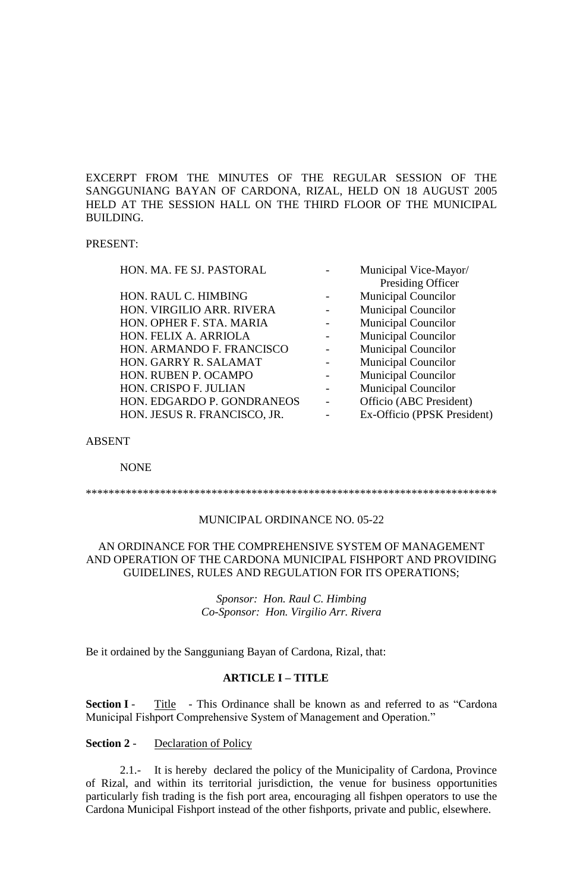EXCERPT FROM THE MINUTES OF THE REGULAR SESSION OF THE SANGGUNIANG BAYAN OF CARDONA, RIZAL, HELD ON 18 AUGUST 2005 HELD AT THE SESSION HALL ON THE THIRD FLOOR OF THE MUNICIPAL BUILDING.

#### PRESENT:

| HON. MA. FE SJ. PASTORAL     | Municipal Vice-Mayor/       |
|------------------------------|-----------------------------|
|                              | Presiding Officer           |
| HON. RAUL C. HIMBING         | <b>Municipal Councilor</b>  |
| HON. VIRGILIO ARR. RIVERA    | <b>Municipal Councilor</b>  |
| HON. OPHER F. STA. MARIA     | <b>Municipal Councilor</b>  |
| HON. FELIX A. ARRIOLA        | <b>Municipal Councilor</b>  |
| HON. ARMANDO F. FRANCISCO    | <b>Municipal Councilor</b>  |
| HON. GARRY R. SALAMAT        | <b>Municipal Councilor</b>  |
| HON. RUBEN P. OCAMPO         | <b>Municipal Councilor</b>  |
| HON. CRISPO F. JULIAN        | Municipal Councilor         |
| HON. EDGARDO P. GONDRANEOS   | Officio (ABC President)     |
| HON. JESUS R. FRANCISCO, JR. | Ex-Officio (PPSK President) |
|                              |                             |

#### ABSENT

NONE

\*\*\*\*\*\*\*\*\*\*\*\*\*\*\*\*\*\*\*\*\*\*\*\*\*\*\*\*\*\*\*\*\*\*\*\*\*\*\*\*\*\*\*\*\*\*\*\*\*\*\*\*\*\*\*\*\*\*\*\*\*\*\*\*\*\*\*\*\*\*\*\*

#### MUNICIPAL ORDINANCE NO. 05-22

#### AN ORDINANCE FOR THE COMPREHENSIVE SYSTEM OF MANAGEMENT AND OPERATION OF THE CARDONA MUNICIPAL FISHPORT AND PROVIDING GUIDELINES, RULES AND REGULATION FOR ITS OPERATIONS;

*Sponsor: Hon. Raul C. Himbing Co-Sponsor: Hon. Virgilio Arr. Rivera*

Be it ordained by the Sangguniang Bayan of Cardona, Rizal, that:

#### **ARTICLE I – TITLE**

**Section I** - Title - This Ordinance shall be known as and referred to as "Cardona" Municipal Fishport Comprehensive System of Management and Operation."

#### **Section 2** - Declaration of Policy

2.1.- It is hereby declared the policy of the Municipality of Cardona, Province of Rizal, and within its territorial jurisdiction, the venue for business opportunities particularly fish trading is the fish port area, encouraging all fishpen operators to use the Cardona Municipal Fishport instead of the other fishports, private and public, elsewhere.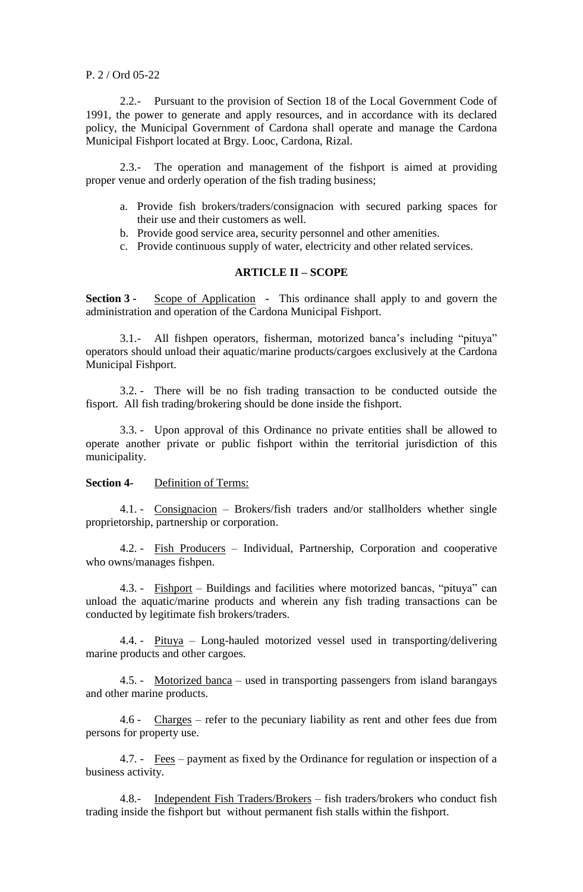#### P. 2 / Ord 05-22

2.2.- Pursuant to the provision of Section 18 of the Local Government Code of 1991, the power to generate and apply resources, and in accordance with its declared policy, the Municipal Government of Cardona shall operate and manage the Cardona Municipal Fishport located at Brgy. Looc, Cardona, Rizal.

2.3.- The operation and management of the fishport is aimed at providing proper venue and orderly operation of the fish trading business;

- a. Provide fish brokers/traders/consignacion with secured parking spaces for their use and their customers as well.
- b. Provide good service area, security personnel and other amenities.
- c. Provide continuous supply of water, electricity and other related services.

## **ARTICLE II – SCOPE**

**Section 3 -** Scope of Application **-** This ordinance shall apply to and govern the administration and operation of the Cardona Municipal Fishport.

3.1.- All fishpen operators, fisherman, motorized banca's including "pituya" operators should unload their aquatic/marine products/cargoes exclusively at the Cardona Municipal Fishport.

3.2. - There will be no fish trading transaction to be conducted outside the fisport. All fish trading/brokering should be done inside the fishport.

3.3. - Upon approval of this Ordinance no private entities shall be allowed to operate another private or public fishport within the territorial jurisdiction of this municipality.

# **Section 4-** Definition of Terms:

4.1. - Consignacion – Brokers/fish traders and/or stallholders whether single proprietorship, partnership or corporation.

4.2. - Fish Producers – Individual, Partnership, Corporation and cooperative who owns/manages fishpen.

4.3. - Fishport – Buildings and facilities where motorized bancas, "pituya" can unload the aquatic/marine products and wherein any fish trading transactions can be conducted by legitimate fish brokers/traders.

4.4. - Pituya – Long-hauled motorized vessel used in transporting/delivering marine products and other cargoes.

4.5. - Motorized banca – used in transporting passengers from island barangays and other marine products.

4.6 - Charges – refer to the pecuniary liability as rent and other fees due from persons for property use.

4.7. - Fees – payment as fixed by the Ordinance for regulation or inspection of a business activity.

4.8.- Independent Fish Traders/Brokers – fish traders/brokers who conduct fish trading inside the fishport but without permanent fish stalls within the fishport.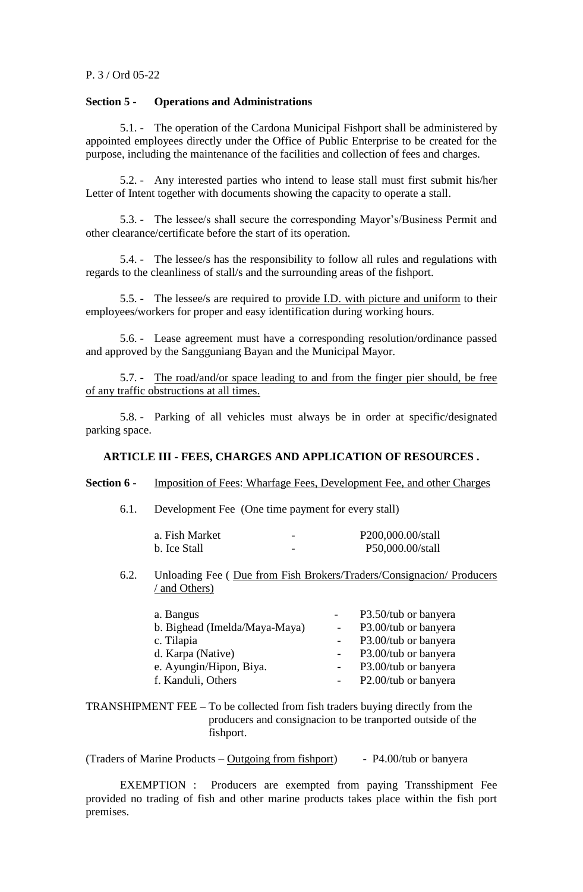#### P. 3 / Ord 05-22

# **Section 5 - Operations and Administrations**

5.1. - The operation of the Cardona Municipal Fishport shall be administered by appointed employees directly under the Office of Public Enterprise to be created for the purpose, including the maintenance of the facilities and collection of fees and charges.

5.2. - Any interested parties who intend to lease stall must first submit his/her Letter of Intent together with documents showing the capacity to operate a stall.

5.3. - The lessee/s shall secure the corresponding Mayor's/Business Permit and other clearance/certificate before the start of its operation.

5.4. - The lessee/s has the responsibility to follow all rules and regulations with regards to the cleanliness of stall/s and the surrounding areas of the fishport.

5.5. - The lessee/s are required to provide I.D. with picture and uniform to their employees/workers for proper and easy identification during working hours.

5.6. - Lease agreement must have a corresponding resolution/ordinance passed and approved by the Sangguniang Bayan and the Municipal Mayor.

5.7. - The road/and/or space leading to and from the finger pier should, be free of any traffic obstructions at all times.

5.8. - Parking of all vehicles must always be in order at specific/designated parking space.

# **ARTICLE III - FEES, CHARGES AND APPLICATION OF RESOURCES .**

## **Section 6 -** Imposition of Fees: Wharfage Fees, Development Fee, and other Charges

6.1. Development Fee (One time payment for every stall)

| a. Fish Market | - | P200,000.00/stall |
|----------------|---|-------------------|
| b. Ice Stall   | - | P50,000.00/stall  |

### 6.2. Unloading Fee ( Due from Fish Brokers/Traders/Consignacion/ Producers / and Others)

| a. Bangus                     | P3.50/tub or banyera |
|-------------------------------|----------------------|
| b. Bighead (Imelda/Maya-Maya) | P3.00/tub or banyera |
| c. Tilapia                    | P3.00/tub or banyera |
| d. Karpa (Native)             | P3.00/tub or banyera |
| e. Ayungin/Hipon, Biya.       | P3.00/tub or banyera |
| f. Kanduli, Others            | P2.00/tub or banyera |
|                               |                      |

TRANSHIPMENT FEE – To be collected from fish traders buying directly from the producers and consignacion to be tranported outside of the fishport.

(Traders of Marine Products –  $Outgoing from fishport)$  - P4.00/tub or banyera

EXEMPTION : Producers are exempted from paying Transshipment Fee provided no trading of fish and other marine products takes place within the fish port premises.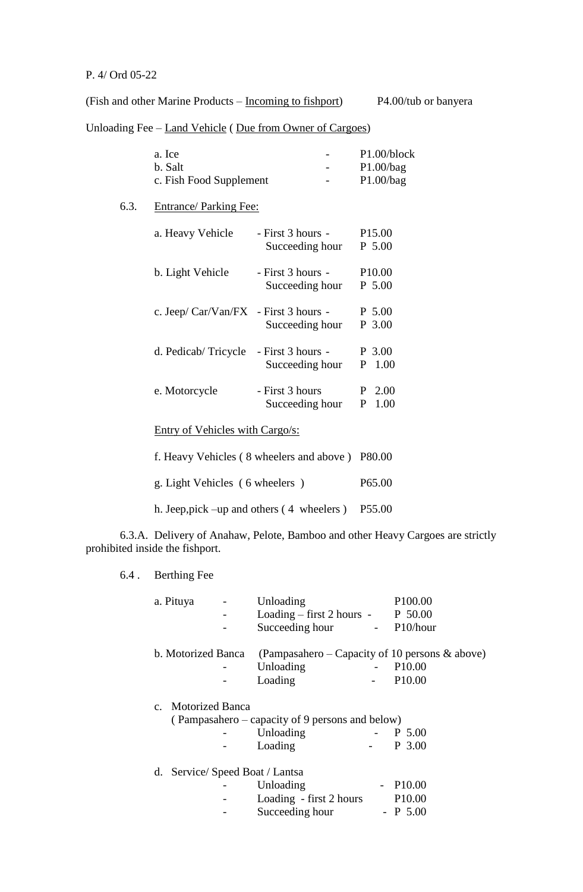# P. 4/ Ord 05-22

 $6.3.$ 

(Fish and other Marine Products – Incoming to fishport) P4.00/tub or banyera

Unloading Fee – Land Vehicle ( Due from Owner of Cargoes)

| a. Ice                                  |                   | P1.00/block        |
|-----------------------------------------|-------------------|--------------------|
| b. Salt                                 |                   | P1.00/bag          |
| c. Fish Food Supplement                 |                   | P1.00/bag          |
| <b>Entrance/Parking Fee:</b>            |                   |                    |
| a. Heavy Vehicle                        | - First 3 hours - | P <sub>15.00</sub> |
|                                         | Succeeding hour   | $P$ 5.00           |
|                                         |                   |                    |
| b. Light Vehicle                        | - First 3 hours - | P <sub>10.00</sub> |
|                                         | Succeeding hour   | P 5.00             |
| c. Jeep/ $Car/Van/FX$ - First 3 hours - |                   | P 5.00             |
|                                         | Succeeding hour   | P 3.00             |
|                                         |                   |                    |
| d. Pedicab/Tricycle                     | - First 3 hours - | P 3.00             |
|                                         | Succeeding hour   | P<br>1.00          |
| e. Motorcycle                           | - First 3 hours   | P.<br>2.00         |
|                                         |                   |                    |
|                                         | Succeeding hour   | P<br>1.00          |
| Entry of Vehicles with Cargo/s:         |                   |                    |
|                                         |                   |                    |

| f. Heavy Vehicles (8 wheelers and above) P80.00    |                    |
|----------------------------------------------------|--------------------|
| g. Light Vehicles (6 wheelers)                     | P <sub>65.00</sub> |
| h. Jeep, pick $-\text{up}$ and others (4 wheelers) | P55.00             |

6.3.A. Delivery of Anahaw, Pelote, Bamboo and other Heavy Cargoes are strictly prohibited inside the fishport.

# 6.4 . Berthing Fee

| a. Pituya          | Unloading                                         |                     | P100.00            |
|--------------------|---------------------------------------------------|---------------------|--------------------|
|                    | $\text{Loading} - \text{first 2 hours}$ -         |                     | P 50.00            |
|                    | Succeeding hour                                   | $\omega_{\rm{max}}$ | P10/hour           |
| b. Motorized Banca | (Pampasahero – Capacity of 10 persons $\&$ above) |                     |                    |
|                    | Unloading                                         |                     | P <sub>10.00</sub> |
|                    | Loading                                           |                     | P10.00             |
| c. Motorized Banca |                                                   |                     |                    |
|                    | (Pampasahero – capacity of 9 persons and below)   |                     |                    |
|                    | Unloading                                         |                     | P 5.00             |
|                    | Loading                                           |                     | P 3.00             |
| d.                 | Service/ Speed Boat / Lantsa                      |                     |                    |
|                    | Unloading                                         |                     | $-$ P10.00         |
|                    | Loading - first 2 hours                           |                     | P <sub>10.00</sub> |
|                    | Succeeding hour                                   |                     | $-$ P 5.00         |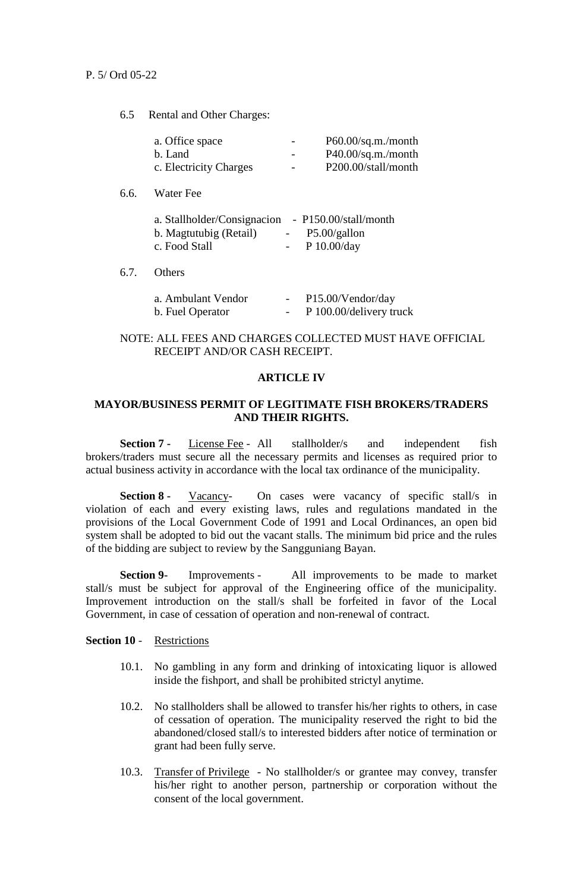6.5 Rental and Other Charges:

| a. Office space        | $\overline{\phantom{0}}$ | P60.00/sq.m./month          |
|------------------------|--------------------------|-----------------------------|
| b. Land                | $\overline{\phantom{0}}$ | $P40.00\text{/sg.m./month}$ |
| c. Electricity Charges | $\overline{\phantom{a}}$ | P200.00/stall/month         |

6.6. Water Fee

| a. Stallholder/Consignacion | $-$ P150.00/stall/month |
|-----------------------------|-------------------------|
| b. Magtutubig (Retail)      | $-$ P5.00/gallon        |
| c. Food Stall               | - $P 10.00/day$         |

6.7. Others

| a. Ambulant Vendor | $\overline{\phantom{a}}$ | P15.00/Vendor/day       |
|--------------------|--------------------------|-------------------------|
| b. Fuel Operator   | $\overline{\phantom{0}}$ | P 100.00/delivery truck |

# NOTE: ALL FEES AND CHARGES COLLECTED MUST HAVE OFFICIAL RECEIPT AND/OR CASH RECEIPT.

#### **ARTICLE IV**

# **MAYOR/BUSINESS PERMIT OF LEGITIMATE FISH BROKERS/TRADERS AND THEIR RIGHTS.**

**Section 7 -** License Fee - All stallholder/s and independent fish brokers/traders must secure all the necessary permits and licenses as required prior to actual business activity in accordance with the local tax ordinance of the municipality.

**Section 8 -** Vacancy On cases were vacancy of specific stall/s in violation of each and every existing laws, rules and regulations mandated in the provisions of the Local Government Code of 1991 and Local Ordinances, an open bid system shall be adopted to bid out the vacant stalls. The minimum bid price and the rules of the bidding are subject to review by the Sangguniang Bayan.

**Section 9-** Improvements - All improvements to be made to market stall/s must be subject for approval of the Engineering office of the municipality. Improvement introduction on the stall/s shall be forfeited in favor of the Local Government, in case of cessation of operation and non-renewal of contract.

**Section 10** - Restrictions

- 10.1. No gambling in any form and drinking of intoxicating liquor is allowed inside the fishport, and shall be prohibited strictyl anytime.
- 10.2. No stallholders shall be allowed to transfer his/her rights to others, in case of cessation of operation. The municipality reserved the right to bid the abandoned/closed stall/s to interested bidders after notice of termination or grant had been fully serve.
- 10.3. Transfer of Privilege No stallholder/s or grantee may convey, transfer his/her right to another person, partnership or corporation without the consent of the local government.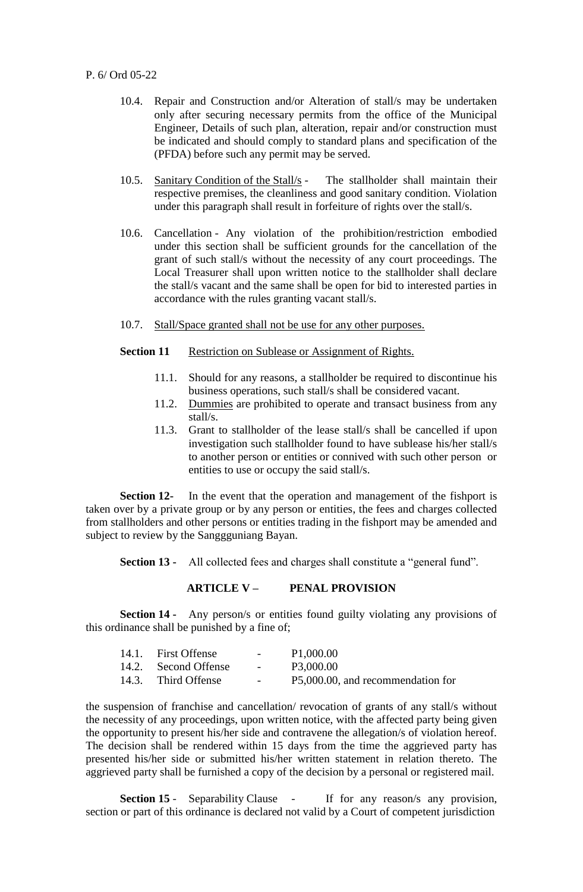- 10.4. Repair and Construction and/or Alteration of stall/s may be undertaken only after securing necessary permits from the office of the Municipal Engineer, Details of such plan, alteration, repair and/or construction must be indicated and should comply to standard plans and specification of the (PFDA) before such any permit may be served.
- 10.5. Sanitary Condition of the Stall/s The stallholder shall maintain their respective premises, the cleanliness and good sanitary condition. Violation under this paragraph shall result in forfeiture of rights over the stall/s.
- 10.6. Cancellation Any violation of the prohibition/restriction embodied under this section shall be sufficient grounds for the cancellation of the grant of such stall/s without the necessity of any court proceedings. The Local Treasurer shall upon written notice to the stallholder shall declare the stall/s vacant and the same shall be open for bid to interested parties in accordance with the rules granting vacant stall/s.
- 10.7. Stall/Space granted shall not be use for any other purposes.

# **Section 11** Restriction on Sublease or Assignment of Rights.

- 11.1. Should for any reasons, a stallholder be required to discontinue his business operations, such stall/s shall be considered vacant.
- 11.2. Dummies are prohibited to operate and transact business from any stall/s.
- 11.3. Grant to stallholder of the lease stall/s shall be cancelled if upon investigation such stallholder found to have sublease his/her stall/s to another person or entities or connived with such other person or entities to use or occupy the said stall/s.

**Section 12-** In the event that the operation and management of the fishport is taken over by a private group or by any person or entities, the fees and charges collected from stallholders and other persons or entities trading in the fishport may be amended and subject to review by the Sanggguniang Bayan.

**Section 13 -** All collected fees and charges shall constitute a "general fund".

#### **ARTICLE V – PENAL PROVISION**

**Section 14 •** Any person/s or entities found guilty violating any provisions of this ordinance shall be punished by a fine of;

| 14.1. First Offense  | $\sim$ 100 $\mu$               | P1,000.00                         |
|----------------------|--------------------------------|-----------------------------------|
| 14.2. Second Offense | <b>Contract Contract State</b> | P3,000.00                         |
| 14.3. Third Offense  | $\sim$ 100 $\mu$               | P5,000.00, and recommendation for |

the suspension of franchise and cancellation/ revocation of grants of any stall/s without the necessity of any proceedings, upon written notice, with the affected party being given the opportunity to present his/her side and contravene the allegation/s of violation hereof. The decision shall be rendered within 15 days from the time the aggrieved party has presented his/her side or submitted his/her written statement in relation thereto. The aggrieved party shall be furnished a copy of the decision by a personal or registered mail.

**Section 15** - Separability Clause - If for any reason/s any provision, section or part of this ordinance is declared not valid by a Court of competent jurisdiction